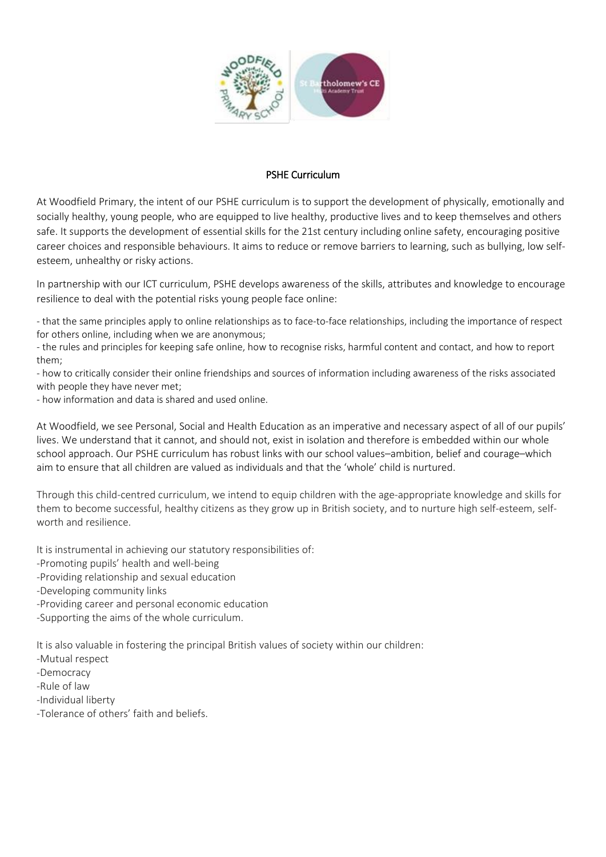

#### PSHE Curriculum

At Woodfield Primary, the intent of our PSHE curriculum is to support the development of physically, emotionally and socially healthy, young people, who are equipped to live healthy, productive lives and to keep themselves and others safe. It supports the development of essential skills for the 21st century including online safety, encouraging positive career choices and responsible behaviours. It aims to reduce or remove barriers to learning, such as bullying, low selfesteem, unhealthy or risky actions.

In partnership with our ICT curriculum, PSHE develops awareness of the skills, attributes and knowledge to encourage resilience to deal with the potential risks young people face online:

- that the same principles apply to online relationships as to face-to-face relationships, including the importance of respect for others online, including when we are anonymous;

- the rules and principles for keeping safe online, how to recognise risks, harmful content and contact, and how to report them;

- how to critically consider their online friendships and sources of information including awareness of the risks associated with people they have never met;

- how information and data is shared and used online.

At Woodfield, we see Personal, Social and Health Education as an imperative and necessary aspect of all of our pupils' lives. We understand that it cannot, and should not, exist in isolation and therefore is embedded within our whole school approach. Our PSHE curriculum has robust links with our school values–ambition, belief and courage–which aim to ensure that all children are valued as individuals and that the 'whole' child is nurtured.

Through this child-centred curriculum, we intend to equip children with the age-appropriate knowledge and skills for them to become successful, healthy citizens as they grow up in British society, and to nurture high self-esteem, selfworth and resilience.

It is instrumental in achieving our statutory responsibilities of:

-Promoting pupils' health and well-being

-Providing relationship and sexual education

-Developing community links

-Providing career and personal economic education

-Supporting the aims of the whole curriculum.

It is also valuable in fostering the principal British values of society within our children:

-Mutual respect

-Democracy

-Rule of law

-Individual liberty

-Tolerance of others' faith and beliefs.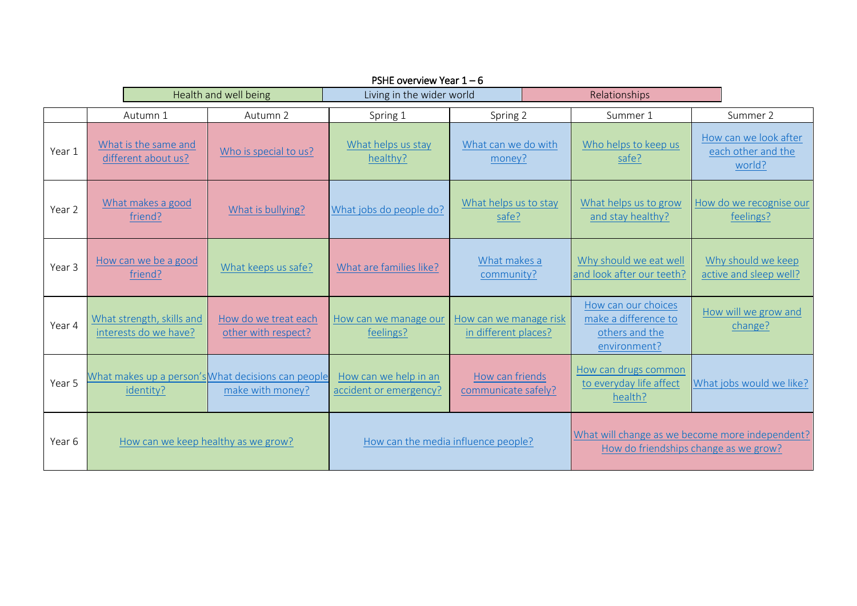|        | PSHE overview Year $1-6$            |                                                    |                                                                        |                                                 |                                                |                                                                                          |                                                                               |                                                       |
|--------|-------------------------------------|----------------------------------------------------|------------------------------------------------------------------------|-------------------------------------------------|------------------------------------------------|------------------------------------------------------------------------------------------|-------------------------------------------------------------------------------|-------------------------------------------------------|
|        | Health and well being               |                                                    | Living in the wider world                                              |                                                 |                                                | Relationships                                                                            |                                                                               |                                                       |
|        |                                     | Autumn 1                                           | Autumn 2                                                               | Spring 1                                        | Spring 2                                       |                                                                                          | Summer 1                                                                      | Summer 2                                              |
| Year 1 |                                     | What is the same and<br>different about us?        | Who is special to us?                                                  | What helps us stay<br>healthy?                  | What can we do with<br>money?                  |                                                                                          | Who helps to keep us<br>safe?                                                 | How can we look after<br>each other and the<br>world? |
| Year 2 |                                     | What makes a good<br>friend?                       | What is bullying?                                                      | What jobs do people do?                         | What helps us to stay<br>safe?                 |                                                                                          | What helps us to grow<br>and stay healthy?                                    | How do we recognise our<br>feelings?                  |
| Year 3 |                                     | How can we be a good<br>friend?                    | What keeps us safe?                                                    | What are families like?                         | What makes a<br>community?                     |                                                                                          | Why should we eat well<br>and look after our teeth?                           | Why should we keep<br>active and sleep well?          |
| Year 4 |                                     | What strength, skills and<br>interests do we have? | How do we treat each<br>other with respect?                            | How can we manage our<br>feelings?              | How can we manage risk<br>in different places? |                                                                                          | How can our choices<br>make a difference to<br>others and the<br>environment? | How will we grow and<br>change?                       |
| Year 5 |                                     | identity?                                          | What makes up a person's What decisions can people<br>make with money? | How can we help in an<br>accident or emergency? | How can friends<br>communicate safely?         |                                                                                          | How can drugs common<br>to everyday life affect<br>health?                    | What jobs would we like?                              |
| Year 6 | How can we keep healthy as we grow? |                                                    | How can the media influence people?                                    |                                                 |                                                | What will change as we become more independent?<br>How do friendships change as we grow? |                                                                               |                                                       |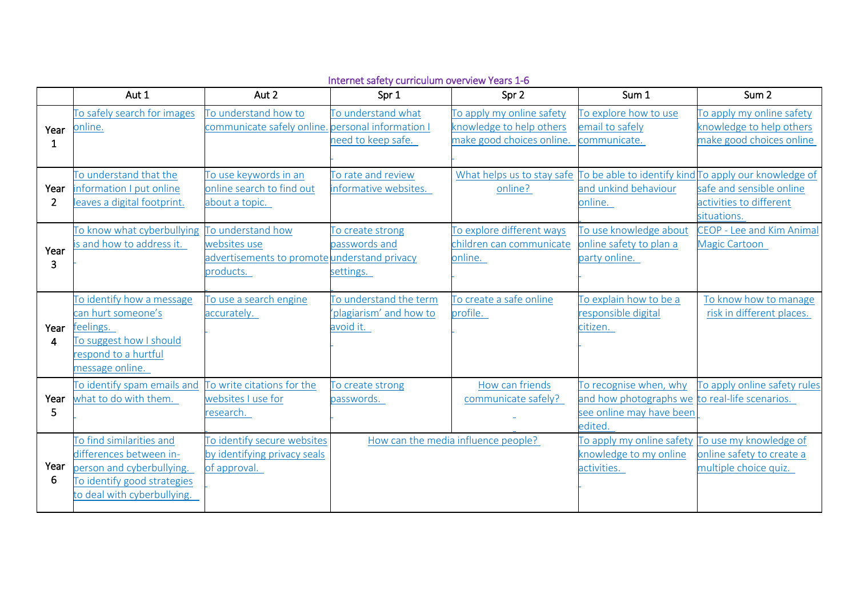|                        | Aut 1                                                                                                                                          | Aut 2                                                                       | Spr 1                                                          | Spr 2                                                                              | Sum 1                                                                                   | Sum <sub>2</sub>                                                                                                            |
|------------------------|------------------------------------------------------------------------------------------------------------------------------------------------|-----------------------------------------------------------------------------|----------------------------------------------------------------|------------------------------------------------------------------------------------|-----------------------------------------------------------------------------------------|-----------------------------------------------------------------------------------------------------------------------------|
| Year<br>1              | To safely search for images<br>online.                                                                                                         | To understand how to<br>communicate safely online. personal information I   | To understand what<br>need to keep safe.                       | To apply my online safety<br>knowledge to help others<br>make good choices online. | To explore how to use<br>email to safely<br>communicate.                                | To apply my online safety<br>knowledge to help others<br>make good choices online                                           |
| Year<br>$\overline{2}$ | To understand that the<br>information I put online<br>eaves a digital footprint.                                                               | To use keywords in an<br>online search to find out<br>about a topic.        | To rate and review<br>informative websites.                    | What helps us to stay safe<br>online?                                              | and unkind behaviour<br>online.                                                         | To be able to identify kind To apply our knowledge of<br>safe and sensible online<br>activities to different<br>situations. |
| Year<br>3              | To know what cyberbullying To understand how<br>s and how to address it.                                                                       | websites use<br>advertisements to promote understand privacy<br>products.   | To create strong<br>passwords and<br>settings.                 | To explore different ways<br>children can communicate<br>online.                   | To use knowledge about<br>online safety to plan a<br>party online.                      | CEOP - Lee and Kim Animal<br>Magic Cartoon                                                                                  |
| Year<br>4              | To identify how a message<br>can hurt someone's<br>feelings.<br>To suggest how I should<br>respond to a hurtful<br>message online.             | To use a search engine<br>accurately.                                       | To understand the term<br>'plagiarism' and how to<br>avoid it. | To create a safe online<br>profile.                                                | To explain how to be a<br>responsible digital<br>citizen.                               | To know how to manage<br>risk in different places.                                                                          |
| Year<br>5              | To identify spam emails and<br>what to do with them.                                                                                           | To write citations for the<br>websites I use for<br>research.               | To create strong<br>passwords.                                 | How can friends<br>communicate safely?                                             | To recognise when, why<br>and how photographs we<br>see online may have been<br>edited. | To apply online safety rules<br>to real-life scenarios.                                                                     |
| Year<br>6              | To find similarities and<br>differences between in-<br>person and cyberbullying.<br>To identify good strategies<br>to deal with cyberbullying. | To identify secure websites<br>by identifying privacy seals<br>of approval. |                                                                | How can the media influence people?                                                | To apply my online safety<br>knowledge to my online<br>activities.                      | To use my knowledge of<br>online safety to create a<br>multiple choice quiz.                                                |

## Internet safety curriculum overview Years 1-6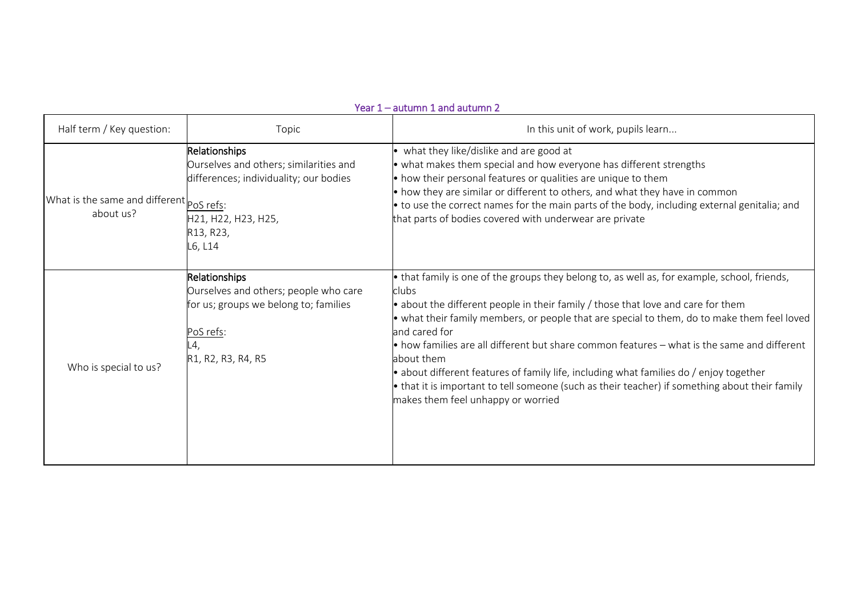|                                                       |                                                                                                                                                  | $\mathbf{r}$ ear 1 — autumn 1 and autumn 2                                                                                                                                                                                                                                                                                                                                                                                                                                                                                                                                                                                                                                         |
|-------------------------------------------------------|--------------------------------------------------------------------------------------------------------------------------------------------------|------------------------------------------------------------------------------------------------------------------------------------------------------------------------------------------------------------------------------------------------------------------------------------------------------------------------------------------------------------------------------------------------------------------------------------------------------------------------------------------------------------------------------------------------------------------------------------------------------------------------------------------------------------------------------------|
| Half term / Key question:                             | Topic                                                                                                                                            | In this unit of work, pupils learn                                                                                                                                                                                                                                                                                                                                                                                                                                                                                                                                                                                                                                                 |
| What is the same and different pos refs:<br>about us? | Relationships<br>Ourselves and others; similarities and<br>differences; individuality; our bodies<br>H21, H22, H23, H25,<br>R13, R23,<br>L6, L14 | • what they like/dislike and are good at<br>• what makes them special and how everyone has different strengths<br>• how their personal features or qualities are unique to them<br>$\bullet$ how they are similar or different to others, and what they have in common<br>• to use the correct names for the main parts of the body, including external genitalia; and<br>that parts of bodies covered with underwear are private                                                                                                                                                                                                                                                  |
| Who is special to us?                                 | Relationships<br>Ourselves and others; people who care<br>for us; groups we belong to; families<br>PoS refs:<br>L4,<br>R1, R2, R3, R4, R5        | • that family is one of the groups they belong to, as well as, for example, school, friends,<br>clubs<br>$\bullet$ about the different people in their family / those that love and care for them<br>• what their family members, or people that are special to them, do to make them feel loved<br>and cared for<br>$\bullet$ how families are all different but share common features $-$ what is the same and different<br>about them<br>$\bullet$ about different features of family life, including what families do / enjoy together<br>• that it is important to tell someone (such as their teacher) if something about their family<br>makes them feel unhappy or worried |

#### Year 1 – autumn 1 and autumn 2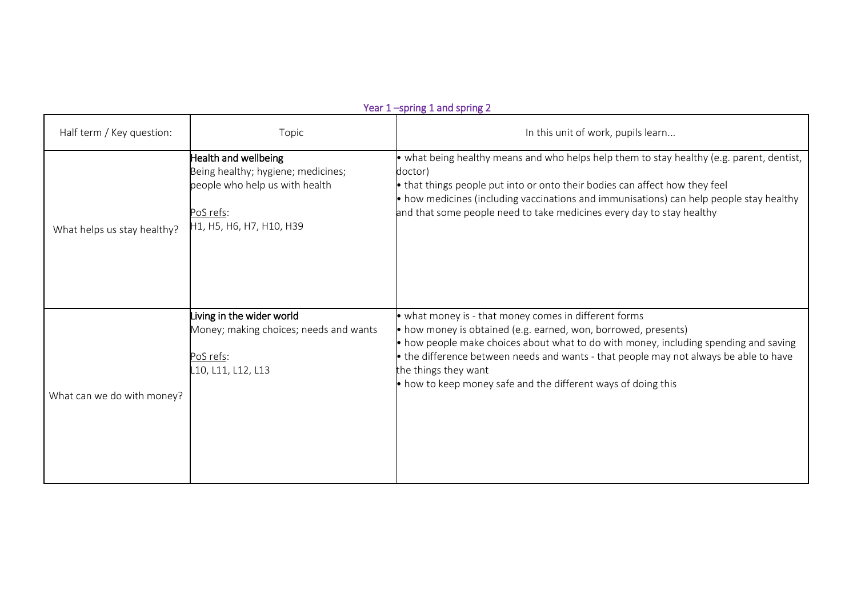|                             |                                                                                                                                       | Year 1-spring 1 and spring 2                                                                                                                                                                                                                                                                                                                                                                                      |
|-----------------------------|---------------------------------------------------------------------------------------------------------------------------------------|-------------------------------------------------------------------------------------------------------------------------------------------------------------------------------------------------------------------------------------------------------------------------------------------------------------------------------------------------------------------------------------------------------------------|
| Half term / Key question:   | Topic                                                                                                                                 | In this unit of work, pupils learn                                                                                                                                                                                                                                                                                                                                                                                |
| What helps us stay healthy? | Health and wellbeing<br>Being healthy; hygiene; medicines;<br>people who help us with health<br>PoS refs:<br>H1, H5, H6, H7, H10, H39 | • what being healthy means and who helps help them to stay healthy (e.g. parent, dentist,<br>doctor)<br>$\bullet$ that things people put into or onto their bodies can affect how they feel<br>$\bullet$ how medicines (including vaccinations and immunisations) can help people stay healthy<br>and that some people need to take medicines every day to stay healthy                                           |
| What can we do with money?  | Living in the wider world<br>Money; making choices; needs and wants<br>PoS refs:<br>L10, L11, L12, L13                                | • what money is - that money comes in different forms<br>• how money is obtained (e.g. earned, won, borrowed, presents)<br>• how people make choices about what to do with money, including spending and saving<br>$\bullet$ the difference between needs and wants - that people may not always be able to have<br>the things they want<br>$\bullet$ how to keep money safe and the different ways of doing this |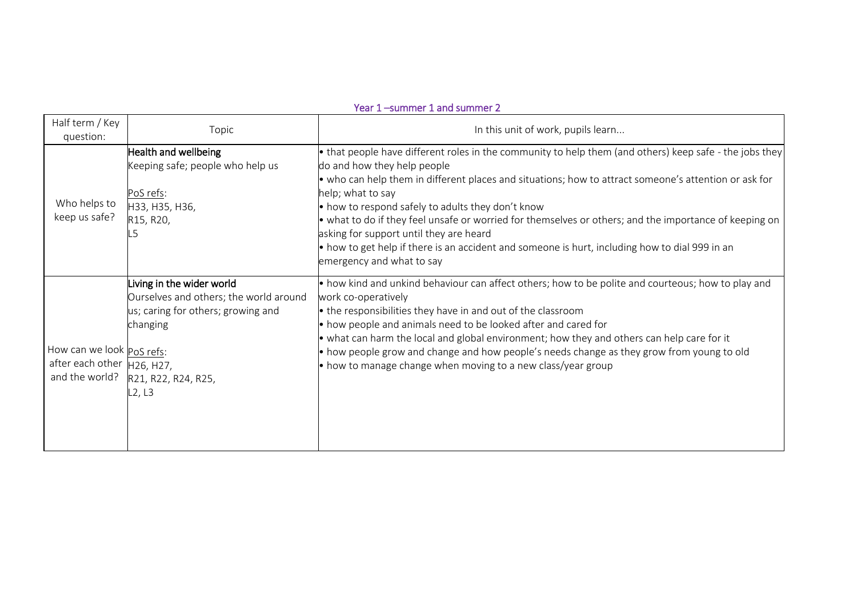### Year 1 –summer 1 and summer 2

| Half term / Key<br>question:                              | Topic                                                                                                                                                                  | In this unit of work, pupils learn                                                                                                                                                                                                                                                                                                                                                                                                                                                                                                                                                                            |
|-----------------------------------------------------------|------------------------------------------------------------------------------------------------------------------------------------------------------------------------|---------------------------------------------------------------------------------------------------------------------------------------------------------------------------------------------------------------------------------------------------------------------------------------------------------------------------------------------------------------------------------------------------------------------------------------------------------------------------------------------------------------------------------------------------------------------------------------------------------------|
| Who helps to<br>keep us safe?                             | Health and wellbeing<br>Keeping safe; people who help us<br>PoS refs:<br>H33, H35, H36,<br>R15, R20,<br>.5                                                             | • that people have different roles in the community to help them (and others) keep safe - the jobs they<br>do and how they help people<br>. who can help them in different places and situations; how to attract someone's attention or ask for<br>help; what to say<br>• how to respond safely to adults they don't know<br>• what to do if they feel unsafe or worried for themselves or others; and the importance of keeping on<br>asking for support until they are heard<br>• how to get help if there is an accident and someone is hurt, including how to dial 999 in an<br>emergency and what to say |
| How can we look PoS refs:<br>after each other   H26, H27, | Living in the wider world<br>Ourselves and others; the world around<br>us; caring for others; growing and<br>changing<br>and the world?  R21, R22, R24, R25,<br>L2, L3 | • how kind and unkind behaviour can affect others; how to be polite and courteous; how to play and<br>work co-operatively<br>• the responsibilities they have in and out of the classroom<br>• how people and animals need to be looked after and cared for<br>• what can harm the local and global environment; how they and others can help care for it<br>• how people grow and change and how people's needs change as they grow from young to old<br>$\bullet$ how to manage change when moving to a new class/year group                                                                                |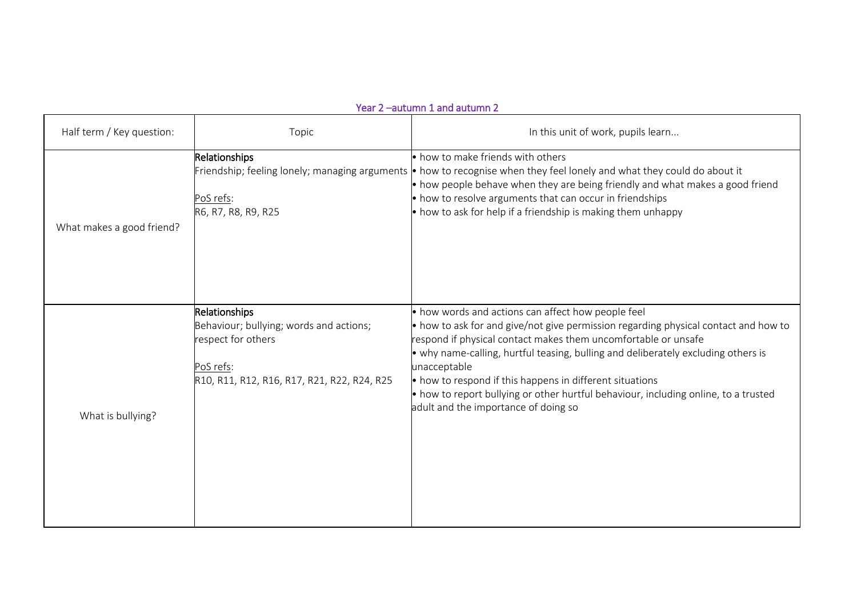# Half term / Key question: The Topic Topic In this unit of work, pupils learn... What makes a good friend? Relationships Friendship; feeling lonely; managing arguments • how to recognise when they feel lonely and what they could do about it PoS refs: R6, R7, R8, R9, R25 • how to make friends with others • how people behave when they are being friendly and what makes a good friend • how to resolve arguments that can occur in friendships  $\bullet$  how to ask for help if a friendship is making them unhappy What is bullying? Relationships Behaviour; bullying; words and actions; respect for others PoS refs: R10, R11, R12, R16, R17, R21, R22, R24, R25 • how words and actions can affect how people feel • how to ask for and give/not give permission regarding physical contact and how to respond if physical contact makes them uncomfortable or unsafe • why name-calling, hurtful teasing, bulling and deliberately excluding others is unacceptable • how to respond if this happens in different situations • how to report bullying or other hurtful behaviour, including online, to a trusted adult and the importance of doing so

#### Year 2 –autumn 1 and autumn 2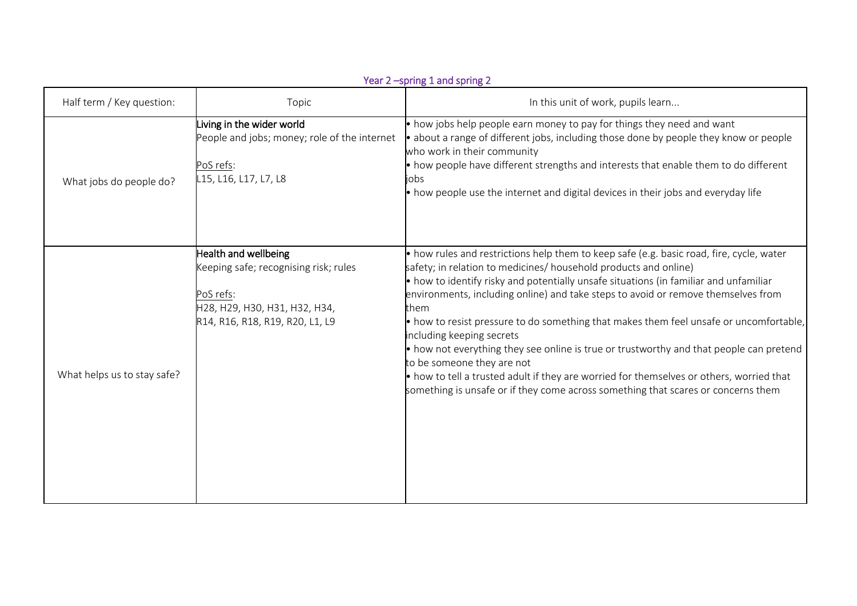|                             |                                                                                                                                                | Year 2 -spring 1 and spring 2                                                                                                                                                                                                                                                                                                                                                                                                                                                                                                                                                                                                                                                                                                                                                                       |
|-----------------------------|------------------------------------------------------------------------------------------------------------------------------------------------|-----------------------------------------------------------------------------------------------------------------------------------------------------------------------------------------------------------------------------------------------------------------------------------------------------------------------------------------------------------------------------------------------------------------------------------------------------------------------------------------------------------------------------------------------------------------------------------------------------------------------------------------------------------------------------------------------------------------------------------------------------------------------------------------------------|
| Half term / Key question:   | Topic                                                                                                                                          | In this unit of work, pupils learn                                                                                                                                                                                                                                                                                                                                                                                                                                                                                                                                                                                                                                                                                                                                                                  |
| What jobs do people do?     | Living in the wider world<br>People and jobs; money; role of the internet<br>PoS refs:<br>L15, L16, L17, L7, L8                                | $\bullet$ how jobs help people earn money to pay for things they need and want<br>$\bullet$ about a range of different jobs, including those done by people they know or people<br>who work in their community<br>• how people have different strengths and interests that enable them to do different<br>jobs<br>$\bullet$ how people use the internet and digital devices in their jobs and everyday life                                                                                                                                                                                                                                                                                                                                                                                         |
| What helps us to stay safe? | Health and wellbeing<br>Keeping safe; recognising risk; rules<br>PoS refs:<br>H28, H29, H30, H31, H32, H34,<br>R14, R16, R18, R19, R20, L1, L9 | $\bullet$ how rules and restrictions help them to keep safe (e.g. basic road, fire, cycle, water<br>safety; in relation to medicines/ household products and online)<br>$\bullet$ how to identify risky and potentially unsafe situations (in familiar and unfamiliar<br>environments, including online) and take steps to avoid or remove themselves from<br>them<br>• how to resist pressure to do something that makes them feel unsafe or uncomfortable,<br>including keeping secrets<br>• how not everything they see online is true or trustworthy and that people can pretend<br>to be someone they are not<br>• how to tell a trusted adult if they are worried for themselves or others, worried that<br>something is unsafe or if they come across something that scares or concerns them |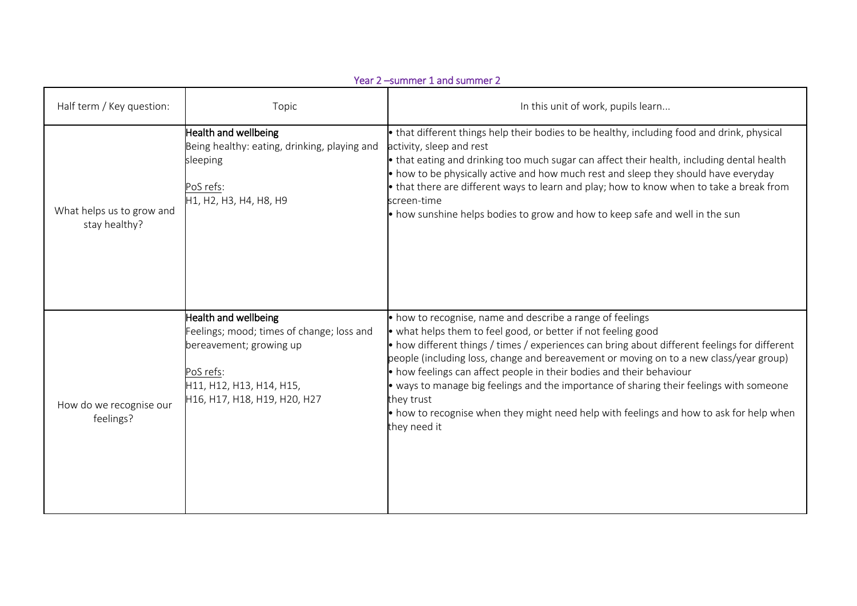|                                            |                                                                                                                                                                       | Year 2 -summer 1 and summer 2                                                                                                                                                                                                                                                                                                                                                                                                                                                                                                                                                                                                     |
|--------------------------------------------|-----------------------------------------------------------------------------------------------------------------------------------------------------------------------|-----------------------------------------------------------------------------------------------------------------------------------------------------------------------------------------------------------------------------------------------------------------------------------------------------------------------------------------------------------------------------------------------------------------------------------------------------------------------------------------------------------------------------------------------------------------------------------------------------------------------------------|
| Half term / Key question:                  | Topic                                                                                                                                                                 | In this unit of work, pupils learn                                                                                                                                                                                                                                                                                                                                                                                                                                                                                                                                                                                                |
| What helps us to grow and<br>stay healthy? | Health and wellbeing<br>Being healthy: eating, drinking, playing and<br>sleeping<br>PoS refs:<br>H1, H2, H3, H4, H8, H9                                               | $\bullet$ that different things help their bodies to be healthy, including food and drink, physical<br>activity, sleep and rest<br>$\bullet$ that eating and drinking too much sugar can affect their health, including dental health<br>• how to be physically active and how much rest and sleep they should have everyday<br>• that there are different ways to learn and play; how to know when to take a break from<br>screen-time<br>$\bullet$ how sunshine helps bodies to grow and how to keep safe and well in the sun                                                                                                   |
| How do we recognise our<br>feelings?       | Health and wellbeing<br>Feelings; mood; times of change; loss and<br>bereavement; growing up<br>PoS refs:<br>H11, H12, H13, H14, H15,<br>H16, H17, H18, H19, H20, H27 | • how to recognise, name and describe a range of feelings<br>$\bullet$ what helps them to feel good, or better if not feeling good<br>$\bullet$ how different things / times / experiences can bring about different feelings for different<br>people (including loss, change and bereavement or moving on to a new class/year group)<br>• how feelings can affect people in their bodies and their behaviour<br>• ways to manage big feelings and the importance of sharing their feelings with someone<br>they trust<br>• how to recognise when they might need help with feelings and how to ask for help when<br>they need it |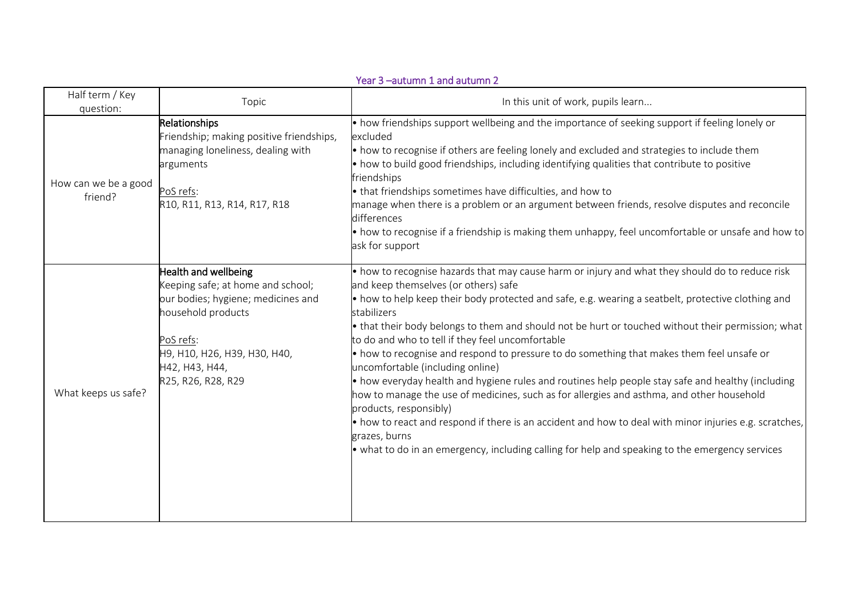|                                 |                                                                                                                                                                                                            | Year 3 -autumn 1 and autumn 2                                                                                                                                                                                                                                                                                                                                                                                                                                                                                                                                                                                                                                                                                                                                                                                                                                                                                                                                                                                                     |
|---------------------------------|------------------------------------------------------------------------------------------------------------------------------------------------------------------------------------------------------------|-----------------------------------------------------------------------------------------------------------------------------------------------------------------------------------------------------------------------------------------------------------------------------------------------------------------------------------------------------------------------------------------------------------------------------------------------------------------------------------------------------------------------------------------------------------------------------------------------------------------------------------------------------------------------------------------------------------------------------------------------------------------------------------------------------------------------------------------------------------------------------------------------------------------------------------------------------------------------------------------------------------------------------------|
| Half term / Key<br>question:    | Topic                                                                                                                                                                                                      | In this unit of work, pupils learn                                                                                                                                                                                                                                                                                                                                                                                                                                                                                                                                                                                                                                                                                                                                                                                                                                                                                                                                                                                                |
| How can we be a good<br>friend? | Relationships<br>Friendship; making positive friendships,<br>managing loneliness, dealing with<br>arguments<br>PoS refs:<br>R10, R11, R13, R14, R17, R18                                                   | $\bullet$ how friendships support wellbeing and the importance of seeking support if feeling lonely or<br>excluded<br>• how to recognise if others are feeling lonely and excluded and strategies to include them<br>. how to build good friendships, including identifying qualities that contribute to positive<br>friendships<br>• that friendships sometimes have difficulties, and how to<br>manage when there is a problem or an argument between friends, resolve disputes and reconcile<br>differences<br>$\bullet$ how to recognise if a friendship is making them unhappy, feel uncomfortable or unsafe and how to<br>ask for support                                                                                                                                                                                                                                                                                                                                                                                   |
| What keeps us safe?             | Health and wellbeing<br>Keeping safe; at home and school;<br>our bodies; hygiene; medicines and<br>household products<br>PoS refs:<br>H9, H10, H26, H39, H30, H40,<br>H42, H43, H44,<br>R25, R26, R28, R29 | • how to recognise hazards that may cause harm or injury and what they should do to reduce risk<br>and keep themselves (or others) safe<br>$\bullet$ how to help keep their body protected and safe, e.g. wearing a seatbelt, protective clothing and<br>stabilizers<br>• that their body belongs to them and should not be hurt or touched without their permission; what<br>to do and who to tell if they feel uncomfortable<br>• how to recognise and respond to pressure to do something that makes them feel unsafe or<br>uncomfortable (including online)<br>$\bullet$ how everyday health and hygiene rules and routines help people stay safe and healthy (including<br>how to manage the use of medicines, such as for allergies and asthma, and other household<br>products, responsibly)<br>• how to react and respond if there is an accident and how to deal with minor injuries e.g. scratches,<br>grazes, burns<br>• what to do in an emergency, including calling for help and speaking to the emergency services |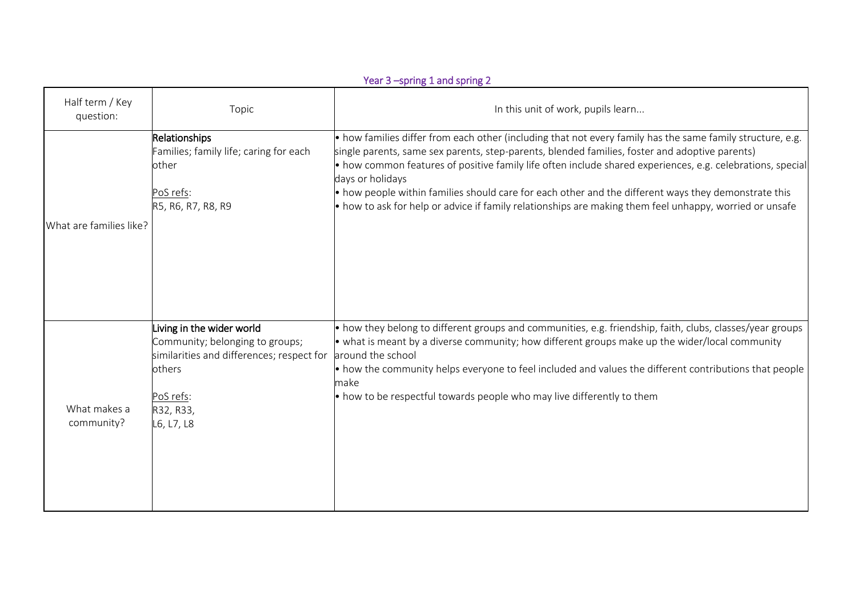|                              |                                                                                                                                                            | Year 3 -spring 1 and spring 2                                                                                                                                                                                                                                                                                                                                                                                                                                                                                                                                                             |
|------------------------------|------------------------------------------------------------------------------------------------------------------------------------------------------------|-------------------------------------------------------------------------------------------------------------------------------------------------------------------------------------------------------------------------------------------------------------------------------------------------------------------------------------------------------------------------------------------------------------------------------------------------------------------------------------------------------------------------------------------------------------------------------------------|
| Half term / Key<br>question: | Topic                                                                                                                                                      | In this unit of work, pupils learn                                                                                                                                                                                                                                                                                                                                                                                                                                                                                                                                                        |
| What are families like?      | <b>Relationships</b><br>amilies; family life; caring for each<br>other<br>PoS refs:<br>R5, R6, R7, R8, R9                                                  | • how families differ from each other (including that not every family has the same family structure, e.g.<br>single parents, same sex parents, step-parents, blended families, foster and adoptive parents)<br>$\bullet$ how common features of positive family life often include shared experiences, e.g. celebrations, special<br>days or holidays<br>$\bullet$ how people within families should care for each other and the different ways they demonstrate this<br>$\bullet$ how to ask for help or advice if family relationships are making them feel unhappy, worried or unsafe |
| What makes a<br>community?   | iving in the wider world<br>Community; belonging to groups;<br>similarities and differences; respect for<br>others<br>PoS refs:<br>R32, R33,<br>L6, L7, L8 | $\bullet$ how they belong to different groups and communities, e.g. friendship, faith, clubs, classes/year groups<br>• what is meant by a diverse community; how different groups make up the wider/local community<br>around the school<br>• how the community helps everyone to feel included and values the different contributions that people<br>make<br>$\bullet$ how to be respectful towards people who may live differently to them                                                                                                                                              |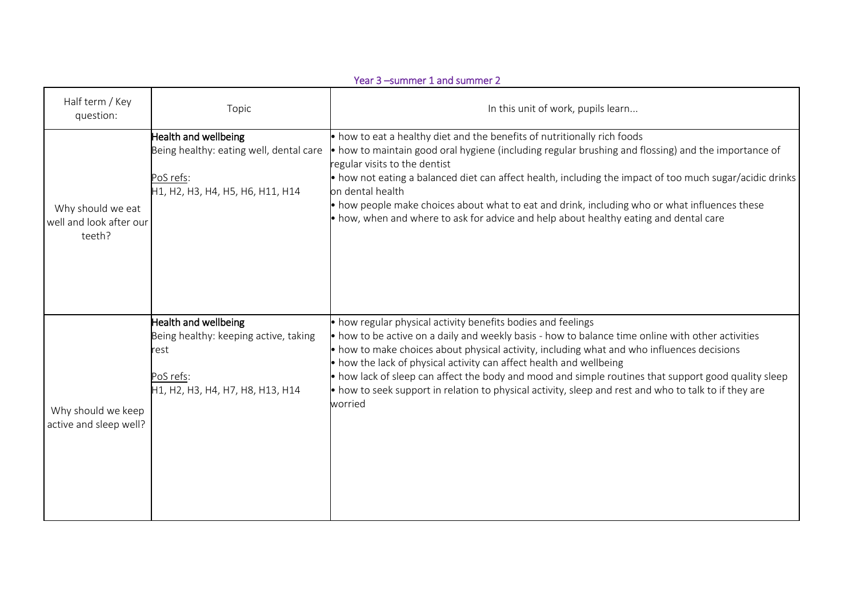|                                                        |                                                                                                                        | Year 3 -summer 1 and summer 2                                                                                                                                                                                                                                                                                                                                                                                                                                                                                                                                                              |
|--------------------------------------------------------|------------------------------------------------------------------------------------------------------------------------|--------------------------------------------------------------------------------------------------------------------------------------------------------------------------------------------------------------------------------------------------------------------------------------------------------------------------------------------------------------------------------------------------------------------------------------------------------------------------------------------------------------------------------------------------------------------------------------------|
| Half term / Key<br>question:                           | Topic                                                                                                                  | In this unit of work, pupils learn                                                                                                                                                                                                                                                                                                                                                                                                                                                                                                                                                         |
| Why should we eat<br>well and look after our<br>teeth? | Health and wellbeing<br>Being healthy: eating well, dental care<br>PoS refs:<br>H1, H2, H3, H4, H5, H6, H11, H14       | $\bullet$ how to eat a healthy diet and the benefits of nutritionally rich foods<br>• how to maintain good oral hygiene (including regular brushing and flossing) and the importance of<br>regular visits to the dentist<br>• how not eating a balanced diet can affect health, including the impact of too much sugar/acidic drinks<br>on dental health<br>$\bullet$ how people make choices about what to eat and drink, including who or what influences these<br>$\bullet$ how, when and where to ask for advice and help about healthy eating and dental care                         |
| Why should we keep<br>active and sleep well?           | Health and wellbeing<br>Being healthy: keeping active, taking<br>rest<br>PoS refs:<br>H1, H2, H3, H4, H7, H8, H13, H14 | • how regular physical activity benefits bodies and feelings<br>$\bullet$ how to be active on a daily and weekly basis - how to balance time online with other activities<br>• how to make choices about physical activity, including what and who influences decisions<br>$\bullet$ how the lack of physical activity can affect health and wellbeing<br>$\bullet$ how lack of sleep can affect the body and mood and simple routines that support good quality sleep<br>• how to seek support in relation to physical activity, sleep and rest and who to talk to if they are<br>worried |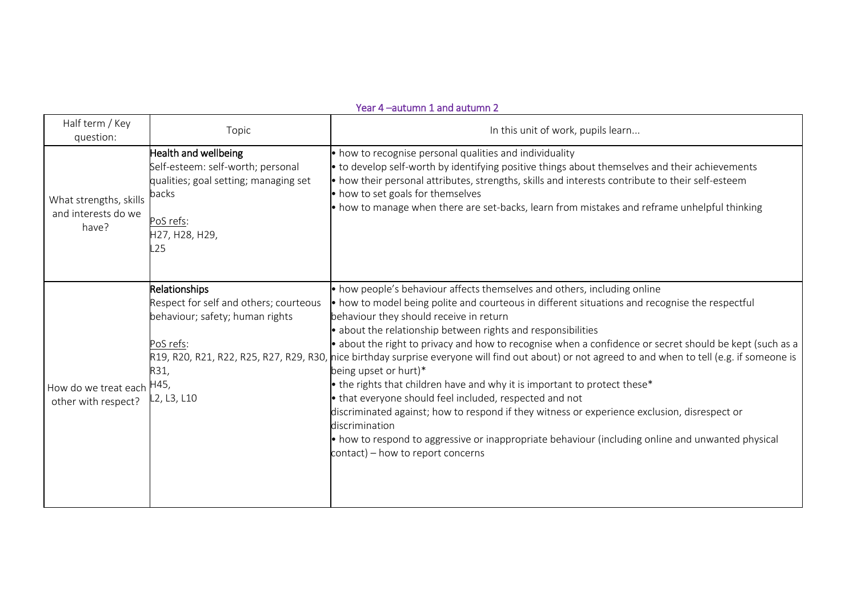#### Year 4 –autumn 1 and autumn 2

| Half term / Key<br>question:                           | Topic                                                                                                                                                    | In this unit of work, pupils learn                                                                                                                                                                                                                                                                                                                                                                                                                                                                                                                                                                                                                                                                                                                                                                                                                                                                                                                                                          |
|--------------------------------------------------------|----------------------------------------------------------------------------------------------------------------------------------------------------------|---------------------------------------------------------------------------------------------------------------------------------------------------------------------------------------------------------------------------------------------------------------------------------------------------------------------------------------------------------------------------------------------------------------------------------------------------------------------------------------------------------------------------------------------------------------------------------------------------------------------------------------------------------------------------------------------------------------------------------------------------------------------------------------------------------------------------------------------------------------------------------------------------------------------------------------------------------------------------------------------|
| What strengths, skills<br>and interests do we<br>have? | <b>Health and wellbeing</b><br>Self-esteem: self-worth; personal<br>qualities; goal setting; managing set<br>backs<br>PoS refs:<br>H27, H28, H29,<br>L25 | • how to recognise personal qualities and individuality<br>$\bullet$ to develop self-worth by identifying positive things about themselves and their achievements<br>• how their personal attributes, strengths, skills and interests contribute to their self-esteem<br>• how to set goals for themselves<br>$\bullet$ how to manage when there are set-backs, learn from mistakes and reframe unhelpful thinking                                                                                                                                                                                                                                                                                                                                                                                                                                                                                                                                                                          |
| How do we treat each<br>other with respect?            | Relationships<br>Respect for self and others; courteous<br>behaviour; safety; human rights<br>PoS refs:<br>R31,<br>H45,<br>L2, L3, L10                   | $\bullet$ how people's behaviour affects themselves and others, including online<br>• how to model being polite and courteous in different situations and recognise the respectful<br>behaviour they should receive in return<br>• about the relationship between rights and responsibilities<br>• about the right to privacy and how to recognise when a confidence or secret should be kept (such as a<br>R19, R20, R21, R22, R25, R27, R29, R30, nice birthday surprise everyone will find out about) or not agreed to and when to tell (e.g. if someone is<br>being upset or hurt)*<br>• the rights that children have and why it is important to protect these*<br>• that everyone should feel included, respected and not<br>discriminated against; how to respond if they witness or experience exclusion, disrespect or<br>discrimination<br>• how to respond to aggressive or inappropriate behaviour (including online and unwanted physical<br>contact) – how to report concerns |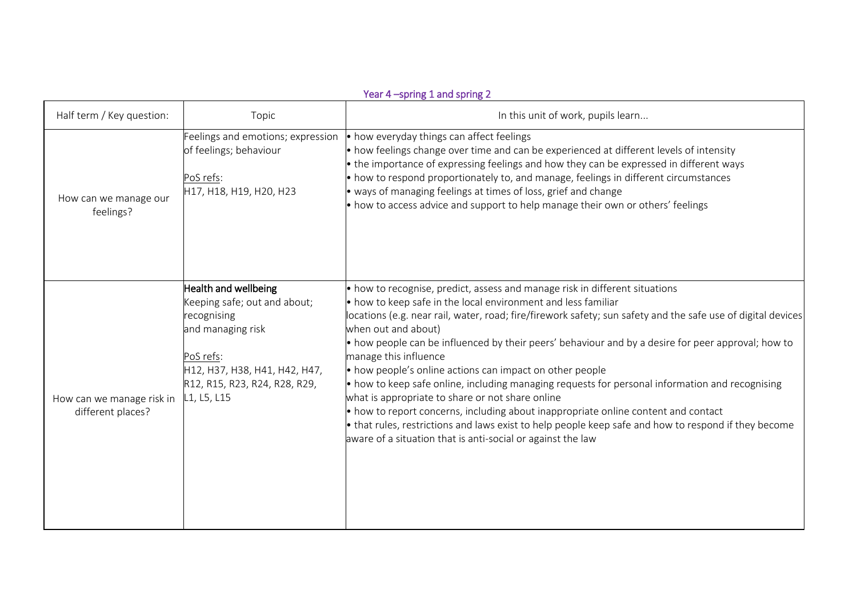|                                                |                                                                                                                                                                                        | Year 4 -spring 1 and spring 2                                                                                                                                                                                                                                                                                                                                                                                                                                                                                                                                                                                                                                                                                                                                                                                                                                                                                                      |
|------------------------------------------------|----------------------------------------------------------------------------------------------------------------------------------------------------------------------------------------|------------------------------------------------------------------------------------------------------------------------------------------------------------------------------------------------------------------------------------------------------------------------------------------------------------------------------------------------------------------------------------------------------------------------------------------------------------------------------------------------------------------------------------------------------------------------------------------------------------------------------------------------------------------------------------------------------------------------------------------------------------------------------------------------------------------------------------------------------------------------------------------------------------------------------------|
| Half term / Key question:                      | Topic                                                                                                                                                                                  | In this unit of work, pupils learn                                                                                                                                                                                                                                                                                                                                                                                                                                                                                                                                                                                                                                                                                                                                                                                                                                                                                                 |
| How can we manage our<br>feelings?             | Feelings and emotions; expression<br>of feelings; behaviour<br>PoS refs:<br>H17, H18, H19, H20, H23                                                                                    | • how everyday things can affect feelings<br>• how feelings change over time and can be experienced at different levels of intensity<br>• the importance of expressing feelings and how they can be expressed in different ways<br>$\bullet$ how to respond proportionately to, and manage, feelings in different circumstances<br>• ways of managing feelings at times of loss, grief and change<br>$\bullet$ how to access advice and support to help manage their own or others' feelings                                                                                                                                                                                                                                                                                                                                                                                                                                       |
| How can we manage risk in<br>different places? | Health and wellbeing<br>Keeping safe; out and about;<br>recognising<br>and managing risk<br>PoS refs:<br>H12, H37, H38, H41, H42, H47,<br>R12, R15, R23, R24, R28, R29,<br>L1, L5, L15 | $\bullet$ how to recognise, predict, assess and manage risk in different situations<br>$\bullet$ how to keep safe in the local environment and less familiar<br>locations (e.g. near rail, water, road; fire/firework safety; sun safety and the safe use of digital devices<br>when out and about)<br>• how people can be influenced by their peers' behaviour and by a desire for peer approval; how to<br>manage this influence<br>• how people's online actions can impact on other people<br>$\bullet$ how to keep safe online, including managing requests for personal information and recognising<br>what is appropriate to share or not share online<br>$\bullet$ how to report concerns, including about inappropriate online content and contact<br>• that rules, restrictions and laws exist to help people keep safe and how to respond if they become<br>aware of a situation that is anti-social or against the law |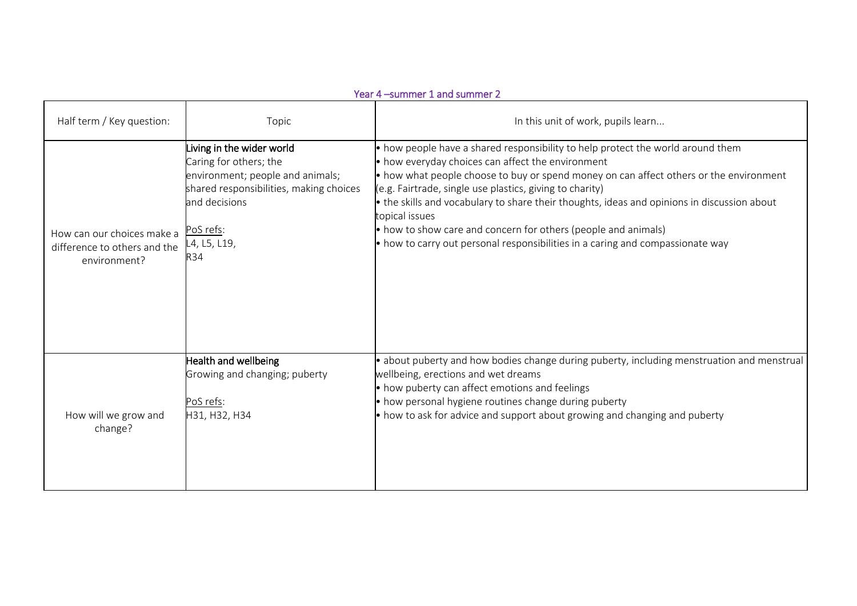| Year 4 -summer 1 and summer 2                                                        |                                                                                                                                                                            |                                                                                                                                                                                                                                                                                                                                                                                                                                                                                                                                                                                         |  |
|--------------------------------------------------------------------------------------|----------------------------------------------------------------------------------------------------------------------------------------------------------------------------|-----------------------------------------------------------------------------------------------------------------------------------------------------------------------------------------------------------------------------------------------------------------------------------------------------------------------------------------------------------------------------------------------------------------------------------------------------------------------------------------------------------------------------------------------------------------------------------------|--|
| Half term / Key question:                                                            | Topic                                                                                                                                                                      | In this unit of work, pupils learn                                                                                                                                                                                                                                                                                                                                                                                                                                                                                                                                                      |  |
| How can our choices make a PoS refs:<br>difference to others and the<br>environment? | Living in the wider world<br>Caring for others; the<br>environment; people and animals;<br>shared responsibilities, making choices<br>and decisions<br>L4, L5, L19,<br>R34 | • how people have a shared responsibility to help protect the world around them<br>• how everyday choices can affect the environment<br>$\bullet$ how what people choose to buy or spend money on can affect others or the environment<br>(e.g. Fairtrade, single use plastics, giving to charity)<br>$\bullet$ the skills and vocabulary to share their thoughts, ideas and opinions in discussion about<br>topical issues<br>• how to show care and concern for others (people and animals)<br>$\bullet$ how to carry out personal responsibilities in a caring and compassionate way |  |
| How will we grow and<br>change?                                                      | Health and wellbeing<br>Growing and changing; puberty<br>PoS refs:<br>H31, H32, H34                                                                                        | • about puberty and how bodies change during puberty, including menstruation and menstrual<br>wellbeing, erections and wet dreams<br>• how puberty can affect emotions and feelings<br>• how personal hygiene routines change during puberty<br>$\bullet$ how to ask for advice and support about growing and changing and puberty                                                                                                                                                                                                                                                      |  |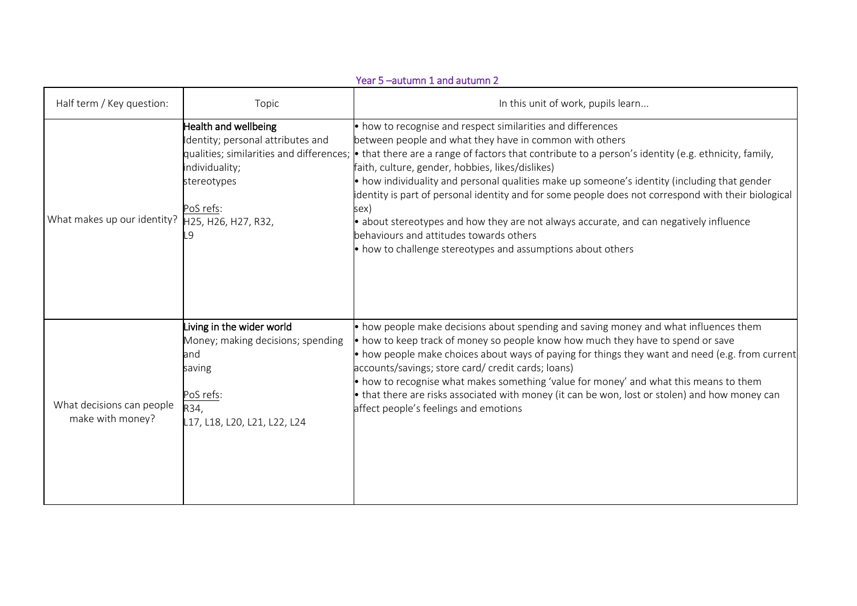|                                               |                                                                                                                                                                                  | Year 5 -autumn 1 and autumn 2                                                                                                                                                                                                                                                                                                                                                                                                                                                                                                                                                                                                                                                                               |
|-----------------------------------------------|----------------------------------------------------------------------------------------------------------------------------------------------------------------------------------|-------------------------------------------------------------------------------------------------------------------------------------------------------------------------------------------------------------------------------------------------------------------------------------------------------------------------------------------------------------------------------------------------------------------------------------------------------------------------------------------------------------------------------------------------------------------------------------------------------------------------------------------------------------------------------------------------------------|
| Half term / Key question:                     | Topic                                                                                                                                                                            | In this unit of work, pupils learn                                                                                                                                                                                                                                                                                                                                                                                                                                                                                                                                                                                                                                                                          |
| What makes up our identity?                   | Health and wellbeing<br>Identity; personal attributes and<br>qualities; similarities and differences;<br>individuality;<br>stereotypes<br>PoS refs:<br>H25, H26, H27, R32,<br>-9 | • how to recognise and respect similarities and differences<br>between people and what they have in common with others<br>$\bullet$ that there are a range of factors that contribute to a person's identity (e.g. ethnicity, family,<br>faith, culture, gender, hobbies, likes/dislikes)<br>• how individuality and personal qualities make up someone's identity (including that gender<br>dentity is part of personal identity and for some people does not correspond with their biological<br>sex)<br>• about stereotypes and how they are not always accurate, and can negatively influence<br>behaviours and attitudes towards others<br>• how to challenge stereotypes and assumptions about others |
| What decisions can people<br>make with money? | Living in the wider world<br>Money; making decisions; spending<br>and<br>saving<br>PoS refs:<br>R34,<br>L17, L18, L20, L21, L22, L24                                             | • how people make decisions about spending and saving money and what influences them<br>• how to keep track of money so people know how much they have to spend or save<br>• how people make choices about ways of paying for things they want and need (e.g. from current<br>accounts/savings; store card/ credit cards; loans)<br>$\bullet$ how to recognise what makes something 'value for money' and what this means to them<br>• that there are risks associated with money (it can be won, lost or stolen) and how money can<br>affect people's feelings and emotions                                                                                                                                |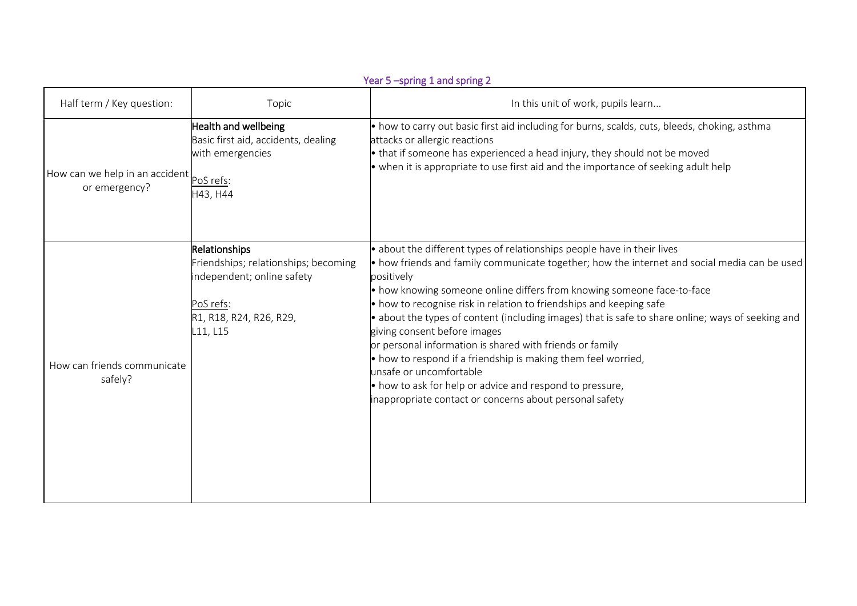|                                                 | Year 5-spring 1 and spring 2                                                                                                            |                                                                                                                                                                                                                                                                                                                                                                                                                                                                                                                                                                                                                                                                                                                                                                                                    |  |  |
|-------------------------------------------------|-----------------------------------------------------------------------------------------------------------------------------------------|----------------------------------------------------------------------------------------------------------------------------------------------------------------------------------------------------------------------------------------------------------------------------------------------------------------------------------------------------------------------------------------------------------------------------------------------------------------------------------------------------------------------------------------------------------------------------------------------------------------------------------------------------------------------------------------------------------------------------------------------------------------------------------------------------|--|--|
| Half term / Key question:                       | Topic                                                                                                                                   | In this unit of work, pupils learn                                                                                                                                                                                                                                                                                                                                                                                                                                                                                                                                                                                                                                                                                                                                                                 |  |  |
| How can we help in an accident<br>or emergency? | Health and wellbeing<br>Basic first aid, accidents, dealing<br>with emergencies<br>PoS refs:<br>H43, H44                                | • how to carry out basic first aid including for burns, scalds, cuts, bleeds, choking, asthma<br>attacks or allergic reactions<br>$\bullet$ that if someone has experienced a head injury, they should not be moved<br>$\bullet$ when it is appropriate to use first aid and the importance of seeking adult help                                                                                                                                                                                                                                                                                                                                                                                                                                                                                  |  |  |
| How can friends communicate<br>safely?          | Relationships<br>Friendships; relationships; becoming<br>independent; online safety<br>PoS refs:<br>R1, R18, R24, R26, R29,<br>L11, L15 | $\bullet$ about the different types of relationships people have in their lives<br>$\bullet$ how friends and family communicate together; how the internet and social media can be used<br>positively<br>• how knowing someone online differs from knowing someone face-to-face<br>$\bullet$ how to recognise risk in relation to friendships and keeping safe<br>$\bullet$ about the types of content (including images) that is safe to share online; ways of seeking and<br>giving consent before images<br>or personal information is shared with friends or family<br>$\bullet$ how to respond if a friendship is making them feel worried,<br>unsafe or uncomfortable<br>• how to ask for help or advice and respond to pressure,<br>inappropriate contact or concerns about personal safety |  |  |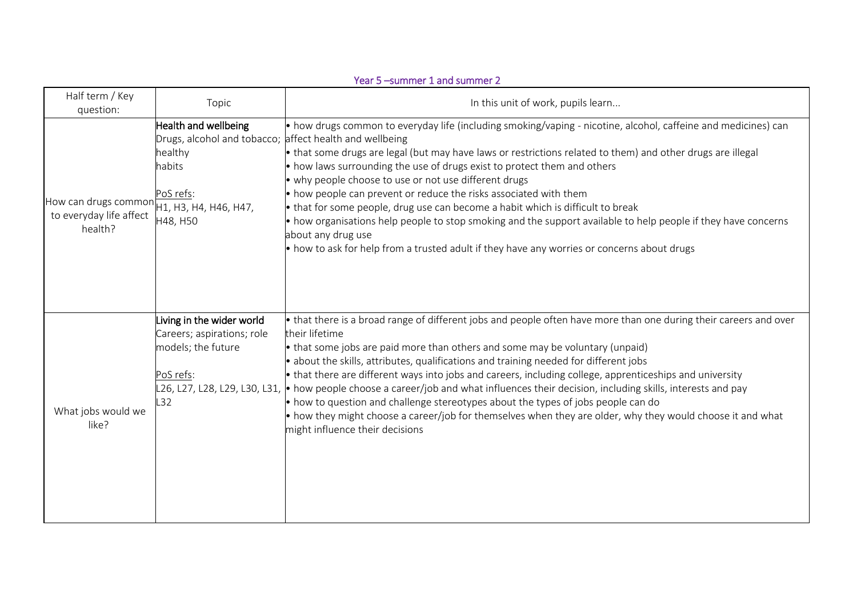|                                                                                                | Year 5 -summer 1 and summer 2                                                                                                 |                                                                                                                                                                                                                                                                                                                                                                                                                                                                                                                                                                                                                                                                                                                                                                                                           |  |  |
|------------------------------------------------------------------------------------------------|-------------------------------------------------------------------------------------------------------------------------------|-----------------------------------------------------------------------------------------------------------------------------------------------------------------------------------------------------------------------------------------------------------------------------------------------------------------------------------------------------------------------------------------------------------------------------------------------------------------------------------------------------------------------------------------------------------------------------------------------------------------------------------------------------------------------------------------------------------------------------------------------------------------------------------------------------------|--|--|
| Half term / Key<br>question:                                                                   | Topic                                                                                                                         | In this unit of work, pupils learn                                                                                                                                                                                                                                                                                                                                                                                                                                                                                                                                                                                                                                                                                                                                                                        |  |  |
| How can drugs common $\overline{H1, H3}$ , H4, H46, H47,<br>to everyday life affect<br>health? | Health and wellbeing<br>Drugs, alcohol and tobacco; affect health and wellbeing<br>healthy<br>habits<br>PoS refs:<br>H48, H50 | • how drugs common to everyday life (including smoking/vaping - nicotine, alcohol, caffeine and medicines) can<br>• that some drugs are legal (but may have laws or restrictions related to them) and other drugs are illegal<br>• how laws surrounding the use of drugs exist to protect them and others<br>• why people choose to use or not use different drugs<br>• how people can prevent or reduce the risks associated with them<br>$\bullet$ that for some people, drug use can become a habit which is difficult to break<br>• how organisations help people to stop smoking and the support available to help people if they have concerns<br>about any drug use<br>$\bullet$ how to ask for help from a trusted adult if they have any worries or concerns about drugs                         |  |  |
| What jobs would we<br>like?                                                                    | Living in the wider world<br>Careers; aspirations; role<br>models; the future<br>PoS refs:<br>L32                             | • that there is a broad range of different jobs and people often have more than one during their careers and over<br>their lifetime<br>• that some jobs are paid more than others and some may be voluntary (unpaid)<br>· about the skills, attributes, qualifications and training needed for different jobs<br>• that there are different ways into jobs and careers, including college, apprenticeships and university<br>L26, L27, L28, L29, L30, L31, • how people choose a career/job and what influences their decision, including skills, interests and pay<br>• how to question and challenge stereotypes about the types of jobs people can do<br>• how they might choose a career/job for themselves when they are older, why they would choose it and what<br>might influence their decisions |  |  |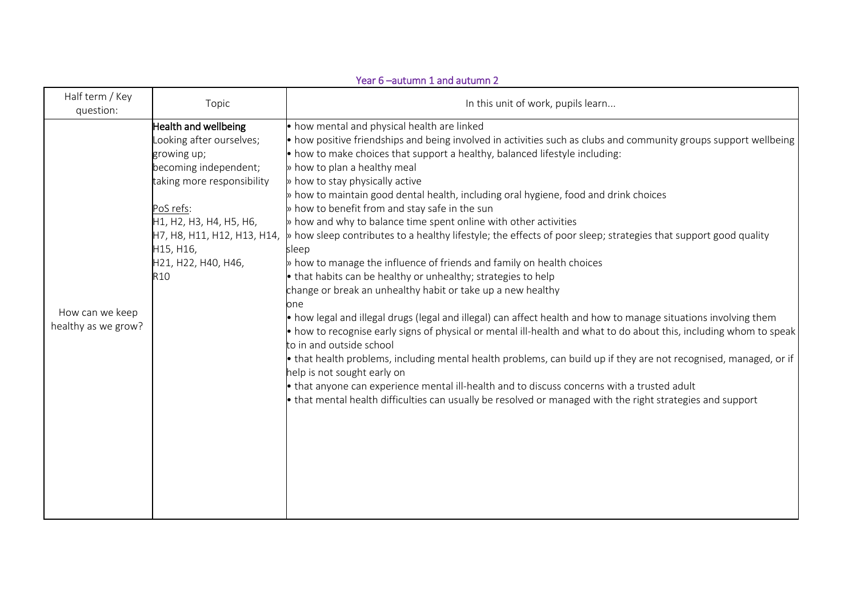|                                        | Year 6-autumn 1 and autumn 2                                                                                                                                                                                                                         |                                                                                                                                                                                                                                                                                                                                                                                                                                                                                                                                                                                                                                                                                                                                                                                                                                                                                                                                                                                                                                                                                                                                                                                                                                                                                                                                                                                                                                                                                                                                                                                 |  |  |
|----------------------------------------|------------------------------------------------------------------------------------------------------------------------------------------------------------------------------------------------------------------------------------------------------|---------------------------------------------------------------------------------------------------------------------------------------------------------------------------------------------------------------------------------------------------------------------------------------------------------------------------------------------------------------------------------------------------------------------------------------------------------------------------------------------------------------------------------------------------------------------------------------------------------------------------------------------------------------------------------------------------------------------------------------------------------------------------------------------------------------------------------------------------------------------------------------------------------------------------------------------------------------------------------------------------------------------------------------------------------------------------------------------------------------------------------------------------------------------------------------------------------------------------------------------------------------------------------------------------------------------------------------------------------------------------------------------------------------------------------------------------------------------------------------------------------------------------------------------------------------------------------|--|--|
| Half term / Key<br>question:           | Topic                                                                                                                                                                                                                                                | In this unit of work, pupils learn                                                                                                                                                                                                                                                                                                                                                                                                                                                                                                                                                                                                                                                                                                                                                                                                                                                                                                                                                                                                                                                                                                                                                                                                                                                                                                                                                                                                                                                                                                                                              |  |  |
| How can we keep<br>healthy as we grow? | Health and wellbeing<br>Looking after ourselves;<br>growing up;<br>becoming independent;<br>taking more responsibility<br>PoS refs:<br>H1, H2, H3, H4, H5, H6,<br>H7, H8, H11, H12, H13, H14,<br>H15, H16,<br>H21, H22, H40, H46,<br>R <sub>10</sub> | • how mental and physical health are linked<br>$\bullet$ how positive friendships and being involved in activities such as clubs and community groups support wellbeing<br>$\bullet$ how to make choices that support a healthy, balanced lifestyle including:<br>» how to plan a healthy meal<br>» how to stay physically active<br>$\triangleright$ how to maintain good dental health, including oral hygiene, food and drink choices<br>» how to benefit from and stay safe in the sun<br>» how and why to balance time spent online with other activities<br>» how sleep contributes to a healthy lifestyle; the effects of poor sleep; strategies that support good quality<br>sleep<br>$\triangleright$ how to manage the influence of friends and family on health choices<br>• that habits can be healthy or unhealthy; strategies to help<br>change or break an unhealthy habit or take up a new healthy<br>one<br>$\bullet$ how legal and illegal drugs (legal and illegal) can affect health and how to manage situations involving them<br>$\bullet$ how to recognise early signs of physical or mental ill-health and what to do about this, including whom to speak<br>to in and outside school<br>• that health problems, including mental health problems, can build up if they are not recognised, managed, or if<br>help is not sought early on<br>• that anyone can experience mental ill-health and to discuss concerns with a trusted adult<br>• that mental health difficulties can usually be resolved or managed with the right strategies and support |  |  |